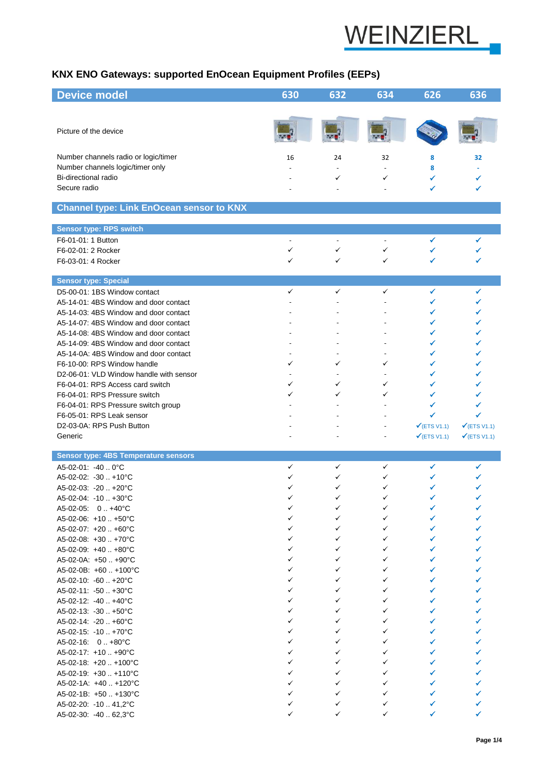

## **KNX ENO Gateways: supported EnOcean Equipment Profiles (EEPs)**

| <b>Device model</b>                                               | 630          | 632          | 634            | 626                     | 636                     |
|-------------------------------------------------------------------|--------------|--------------|----------------|-------------------------|-------------------------|
|                                                                   |              |              |                |                         |                         |
| Picture of the device                                             |              |              |                |                         |                         |
|                                                                   |              |              |                |                         |                         |
| Number channels radio or logic/timer                              | 16           | 24           | 32             | 8                       | 32                      |
| Number channels logic/timer only                                  |              |              |                | 8                       |                         |
| Bi-directional radio                                              |              | ✓            | ✓              | ✓                       | ✓                       |
| Secure radio                                                      |              |              |                | ✔                       |                         |
| <b>Channel type: Link EnOcean sensor to KNX</b>                   |              |              |                |                         |                         |
|                                                                   |              |              |                |                         |                         |
| <b>Sensor type: RPS switch</b><br>F6-01-01: 1 Button              |              |              |                | ✔                       |                         |
| F6-02-01: 2 Rocker                                                | ✓            | ✓            | ✓              |                         |                         |
| F6-03-01: 4 Rocker                                                | ✓            | ✓            | ✓              | ✓                       |                         |
|                                                                   |              |              |                |                         |                         |
| <b>Sensor type: Special</b>                                       |              |              |                |                         |                         |
| D5-00-01: 1BS Window contact                                      | ✓            | $\checkmark$ | ✓              | ✓                       | ✔                       |
| A5-14-01: 4BS Window and door contact                             |              |              |                | ✔                       | ✔                       |
| A5-14-03: 4BS Window and door contact                             |              |              |                |                         |                         |
| A5-14-07: 4BS Window and door contact                             |              |              |                |                         |                         |
| A5-14-08: 4BS Window and door contact                             |              |              |                | ✓                       |                         |
| A5-14-09: 4BS Window and door contact                             |              |              |                | ✓                       | ✓                       |
| A5-14-0A: 4BS Window and door contact                             |              |              |                |                         |                         |
| F6-10-00: RPS Window handle                                       | ✓            | ✓            | ✓              | ✓                       |                         |
| D2-06-01: VLD Window handle with sensor                           | ✓            | ✓            | ✓              | ✓<br>✓                  |                         |
| F6-04-01: RPS Access card switch<br>F6-04-01: RPS Pressure switch |              | ✓            | ✓              | ✔                       |                         |
| F6-04-01: RPS Pressure switch group                               |              |              |                |                         |                         |
| F6-05-01: RPS Leak sensor                                         |              |              |                | ✓                       |                         |
| D2-03-0A: RPS Push Button                                         |              |              | $\overline{a}$ | $\checkmark$ (ETS V1.1) | $\checkmark$ (ETS V1.1) |
| Generic                                                           |              |              |                | $\checkmark$ (ETS V1.1) | $\checkmark$ (ETS V1.1) |
|                                                                   |              |              |                |                         |                         |
| Sensor type: 4BS Temperature sensors                              |              |              |                |                         |                         |
| A5-02-01: -40  0°C                                                | ✓            | ✓            | ✓              | ✓                       | ✔                       |
| A5-02-02: -30  +10°C                                              |              | ✓            | ✓              |                         |                         |
| A5-02-03: -20  +20°C                                              | ✓            | ✓            | ✓              |                         |                         |
| $A5-02-04$ : $-10$ $+30^{\circ}$ C                                |              |              |                |                         |                         |
| A5-02-05: 0+40°C                                                  |              | ✓<br>✓       | ✓<br>✓         |                         |                         |
| $A5-02-06$ : +10 +50°C<br>$A5-02-07$ : +20  +60°C                 |              | ✓            | ✓              | ✔                       |                         |
| $A5-02-08$ : +30 +70°C                                            |              | ✓            | ✓              | ✔                       |                         |
| A5-02-09: +40  +80°C                                              |              | ✓            | ✓              | ✔                       |                         |
| $A5-02-0A: +50. +90^{\circ}C$                                     |              | ✓            | ✓              |                         |                         |
| A5-02-0B: +60  +100°C                                             | ✓            | ✓            | ✓              | ✓                       |                         |
| $A5-02-10$ : $-60$ +20°C                                          | ✓            | ✓            | ✓              | ✓                       |                         |
| $A5-02-11$ : $-50$ $+30^{\circ}$ C                                | ✓            | ✓            | ✓              | ✔                       |                         |
| $A5-02-12$ : $-40$ $+40^{\circ}$ C                                |              | ✓            | ✓              | ✓                       |                         |
| $A5-02-13: -30+50°C$                                              |              | $\checkmark$ | ✓              | ✔                       |                         |
| A5-02-14: -20  +60°C                                              |              | ✓            | ✓              | ✔                       |                         |
| A5-02-15: -10  +70°C                                              |              | ✓            | ✓              | ✓                       |                         |
| $A5-02-16$ : $0.1+80^{\circ}$ C                                   |              | ✓            | ✓              |                         |                         |
| $A5-02-17$ : +10 +90°C                                            | $\checkmark$ | ✓            | ✓              | ✔                       |                         |
| $A5-02-18$ : +20  +100°C                                          | ✓            | ✓            | ✓              | ✔                       |                         |
| A5-02-19: +30  +110°C                                             | ✓            | ✓            | ✓              | ✔                       |                         |
| $A5-02-1A: +40+120^{\circ}C$                                      | ✓<br>✓       | ✓<br>✓       | ✓<br>✓         | ✔<br>✔                  |                         |
| $A5-02-1B: +50+130^{\circ}C$<br>A5-02-20: -10  41,2°C             |              | ✓            | ✓              | ✔                       |                         |
| A5-02-30: -40  62,3°C                                             | ✓            | ✓            | ✓              | ✓                       |                         |
|                                                                   |              |              |                |                         |                         |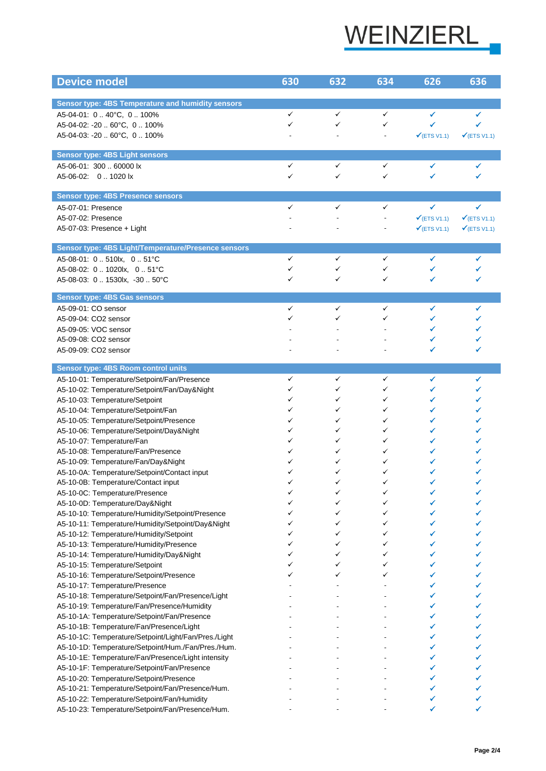

| <b>Device model</b>                                                                                        | 630          | 632          | 634          | 626                     | 636                     |
|------------------------------------------------------------------------------------------------------------|--------------|--------------|--------------|-------------------------|-------------------------|
|                                                                                                            |              |              |              |                         |                         |
| Sensor type: 4BS Temperature and humidity sensors                                                          |              |              |              |                         |                         |
| A5-04-01: 0  40°C, 0  100%                                                                                 | $\checkmark$ | $\checkmark$ | $\checkmark$ | ✔                       | ✔                       |
| A5-04-02: -20  60°C, 0  100%                                                                               | ✓            | ✓            | ✓            |                         |                         |
| A5-04-03: -20  60°C, 0  100%                                                                               |              |              |              | $\checkmark$ (ETS V1.1) | $\checkmark$ (ETS V1.1) |
|                                                                                                            |              |              |              |                         |                         |
| <b>Sensor type: 4BS Light sensors</b>                                                                      |              |              |              |                         |                         |
| A5-06-01: 300  60000 lx                                                                                    | ✓            | ✓            | ✓            | ✔                       | ✔                       |
| A5-06-02: 01020 lx                                                                                         | ✓            | $\checkmark$ | ✓            | ✔                       |                         |
| <b>Sensor type: 4BS Presence sensors</b>                                                                   |              |              |              |                         |                         |
| A5-07-01: Presence                                                                                         | ✓            | ✓            | ✓            | ✔                       | ✔                       |
| A5-07-02: Presence                                                                                         |              |              |              | $\checkmark$ (ETS V1.1) | $\checkmark$ (ETS V1.1) |
| A5-07-03: Presence + Light                                                                                 |              |              |              | $\checkmark$ (ETS V1.1) | $\checkmark$ (ETS V1.1) |
| Sensor type: 4BS Light/Temperature/Presence sensors                                                        |              |              |              |                         |                         |
| A5-08-01: 0  510lx. 0  51°C                                                                                | ✓            | ✓            | ✓            | ✔                       |                         |
| A5-08-02: 0  1020lx, 0  51°C                                                                               | ✓            | ✓            | ✓            | ✓                       |                         |
| A5-08-03: 01530lx, -3050°C                                                                                 | ✓            | $\checkmark$ | ✓            | ✔                       |                         |
|                                                                                                            |              |              |              |                         |                         |
| <b>Sensor type: 4BS Gas sensors</b>                                                                        |              |              |              |                         |                         |
| A5-09-01: CO sensor                                                                                        | ✓            | ✓<br>✓       | ✓            | ✔                       | ✔                       |
| A5-09-04: CO2 sensor                                                                                       | ✓            |              | ✓            | ✔<br>✔                  |                         |
| A5-09-05: VOC sensor<br>A5-09-08: CO2 sensor                                                               |              |              |              |                         |                         |
| A5-09-09: CO2 sensor                                                                                       |              |              |              |                         |                         |
|                                                                                                            |              |              |              |                         |                         |
| Sensor type: 4BS Room control units                                                                        |              |              |              |                         |                         |
| A5-10-01: Temperature/Setpoint/Fan/Presence                                                                | ✓            | ✓            | ✓            | ✓                       | ✔                       |
| A5-10-02: Temperature/Setpoint/Fan/Day&Night                                                               | ✓            | ✓            | ✓            | ✔                       |                         |
| A5-10-03: Temperature/Setpoint                                                                             | ✓            | ✓            | ✓            |                         |                         |
| A5-10-04: Temperature/Setpoint/Fan                                                                         | ✓            | ✓<br>✓       | ✓            | ✓                       |                         |
| A5-10-05: Temperature/Setpoint/Presence                                                                    | ✓<br>✓       | ✓            | ✓<br>✓       | ✓                       |                         |
| A5-10-06: Temperature/Setpoint/Day&Night<br>A5-10-07: Temperature/Fan                                      | ✓            | ✓            | ✓            |                         |                         |
| A5-10-08: Temperature/Fan/Presence                                                                         | ✓            | ✓            | ✓            |                         |                         |
| A5-10-09: Temperature/Fan/Day&Night                                                                        |              | ✓            | ✓            |                         |                         |
| A5-10-0A: Temperature/Setpoint/Contact input                                                               |              | ✓            | ✓            |                         |                         |
| A5-10-0B: Temperature/Contact input                                                                        |              |              |              |                         |                         |
| A5-10-0C: Temperature/Presence                                                                             | ✓            | ✓            | ✓            |                         |                         |
| A5-10-0D: Temperature/Day&Night                                                                            |              | ✓            | ✓            |                         |                         |
| A5-10-10: Temperature/Humidity/Setpoint/Presence                                                           | ✓            | ✓            | ✓            |                         |                         |
| A5-10-11: Temperature/Humidity/Setpoint/Day&Night                                                          |              | ✓            | ✓            |                         |                         |
| A5-10-12: Temperature/Humidity/Setpoint                                                                    | ✓            | ✓            | ✓            |                         |                         |
| A5-10-13: Temperature/Humidity/Presence                                                                    | ✓            | ✓            | ✓            |                         |                         |
| A5-10-14: Temperature/Humidity/Day&Night                                                                   | ✓            | ✓            | ✓            | ✔                       |                         |
| A5-10-15: Temperature/Setpoint                                                                             | ✓            | ✓            | ✓            |                         |                         |
| A5-10-16: Temperature/Setpoint/Presence                                                                    | ✓            | ✓            | ✓            |                         |                         |
| A5-10-17: Temperature/Presence                                                                             |              |              |              |                         |                         |
| A5-10-18: Temperature/Setpoint/Fan/Presence/Light                                                          |              |              |              | ✔                       |                         |
| A5-10-19: Temperature/Fan/Presence/Humidity                                                                |              |              |              |                         |                         |
| A5-10-1A: Temperature/Setpoint/Fan/Presence                                                                |              |              |              | ✔                       |                         |
| A5-10-1B: Temperature/Fan/Presence/Light                                                                   |              |              |              | ✔                       |                         |
| A5-10-1C: Temperature/Setpoint/Light/Fan/Pres./Light<br>A5-10-1D: Temperature/Setpoint/Hum./Fan/Pres./Hum. |              |              |              |                         |                         |
| A5-10-1E: Temperature/Fan/Presence/Light intensity                                                         |              |              |              |                         |                         |
| A5-10-1F: Temperature/Setpoint/Fan/Presence                                                                |              |              |              |                         |                         |
| A5-10-20: Temperature/Setpoint/Presence                                                                    |              |              |              |                         |                         |
| A5-10-21: Temperature/Setpoint/Fan/Presence/Hum.                                                           |              |              |              |                         |                         |
| A5-10-22: Temperature/Setpoint/Fan/Humidity                                                                |              |              |              |                         |                         |
| A5-10-23: Temperature/Setpoint/Fan/Presence/Hum.                                                           |              |              |              |                         |                         |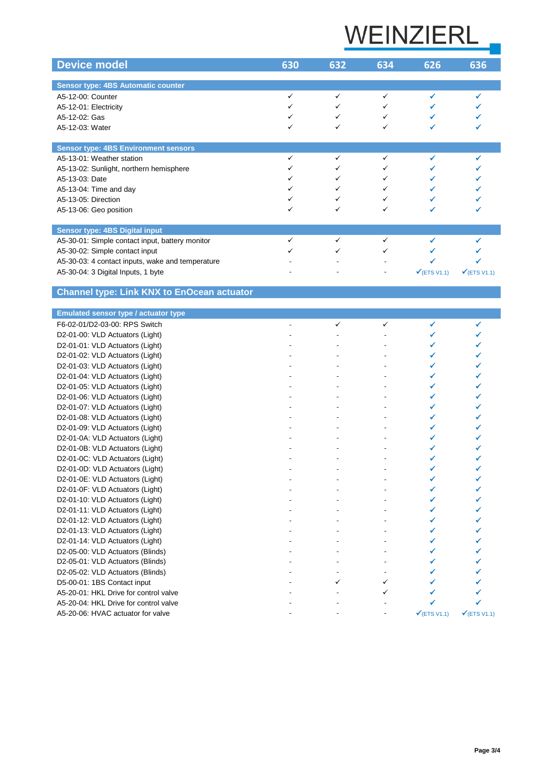## WEINZIERL

| <b>Device model</b>                              | 630 | 632 | 634 | 626                     | 636                     |
|--------------------------------------------------|-----|-----|-----|-------------------------|-------------------------|
|                                                  |     |     |     |                         |                         |
| <b>Sensor type: 4BS Automatic counter</b>        |     |     |     |                         |                         |
| A5-12-00: Counter                                |     |     |     |                         |                         |
| A5-12-01: Electricity                            |     |     |     |                         |                         |
| A5-12-02: Gas                                    |     |     |     |                         |                         |
| A5-12-03: Water                                  |     | ✓   | ✓   |                         |                         |
|                                                  |     |     |     |                         |                         |
| <b>Sensor type: 4BS Environment sensors</b>      |     |     |     |                         |                         |
| A5-13-01: Weather station                        |     |     |     |                         |                         |
| A5-13-02: Sunlight, northern hemisphere          |     |     |     |                         |                         |
| A5-13-03: Date                                   |     |     |     |                         |                         |
| A5-13-04: Time and day                           |     |     |     |                         |                         |
| A5-13-05: Direction                              |     |     |     |                         |                         |
| A5-13-06: Geo position                           |     |     |     |                         |                         |
| Sensor type: 4BS Digital input                   |     |     |     |                         |                         |
| A5-30-01: Simple contact input, battery monitor  |     |     |     |                         |                         |
| A5-30-02: Simple contact input                   |     |     |     |                         |                         |
| A5-30-03: 4 contact inputs, wake and temperature |     |     |     |                         |                         |
| A5-30-04: 3 Digital Inputs, 1 byte               |     |     |     | $\checkmark$ (ETS V1.1) | $\checkmark$ (ETS V1.1) |

## **Channel type: Link KNX to EnOcean actuator**

| <b>Emulated sensor type / actuator type</b> |              |              |                         |                         |
|---------------------------------------------|--------------|--------------|-------------------------|-------------------------|
| F6-02-01/D2-03-00: RPS Switch               | $\checkmark$ | $\checkmark$ | ✔                       | ✔                       |
| D2-01-00: VLD Actuators (Light)             |              |              |                         |                         |
| D2-01-01: VLD Actuators (Light)             |              |              |                         |                         |
| D2-01-02: VLD Actuators (Light)             |              |              |                         |                         |
| D2-01-03: VLD Actuators (Light)             |              |              |                         |                         |
| D2-01-04: VLD Actuators (Light)             |              |              |                         |                         |
| D2-01-05: VLD Actuators (Light)             |              |              |                         |                         |
| D2-01-06: VLD Actuators (Light)             |              |              |                         |                         |
| D2-01-07: VLD Actuators (Light)             |              |              |                         |                         |
| D2-01-08: VLD Actuators (Light)             |              |              |                         |                         |
| D2-01-09: VLD Actuators (Light)             |              |              |                         |                         |
| D2-01-0A: VLD Actuators (Light)             |              |              |                         |                         |
| D2-01-0B: VLD Actuators (Light)             |              |              |                         |                         |
| D2-01-0C: VLD Actuators (Light)             |              |              |                         |                         |
| D2-01-0D: VLD Actuators (Light)             |              |              |                         |                         |
| D2-01-0E: VLD Actuators (Light)             |              |              |                         |                         |
| D2-01-0F: VLD Actuators (Light)             |              |              |                         |                         |
| D2-01-10: VLD Actuators (Light)             |              |              | ✓                       |                         |
| D2-01-11: VLD Actuators (Light)             |              |              |                         |                         |
| D2-01-12: VLD Actuators (Light)             |              |              |                         |                         |
| D2-01-13: VLD Actuators (Light)             |              |              |                         |                         |
| D2-01-14: VLD Actuators (Light)             |              |              |                         |                         |
| D2-05-00: VLD Actuators (Blinds)            |              |              |                         |                         |
| D2-05-01: VLD Actuators (Blinds)            |              |              |                         |                         |
| D2-05-02: VLD Actuators (Blinds)            |              |              |                         |                         |
| D5-00-01: 1BS Contact input                 | ✓            | ✓            |                         |                         |
| A5-20-01: HKL Drive for control valve       |              | ✓            |                         |                         |
| A5-20-04: HKL Drive for control valve       |              |              |                         |                         |
| A5-20-06: HVAC actuator for valve           |              |              | $\checkmark$ (ETS V1.1) | $\checkmark$ (ETS V1.1) |